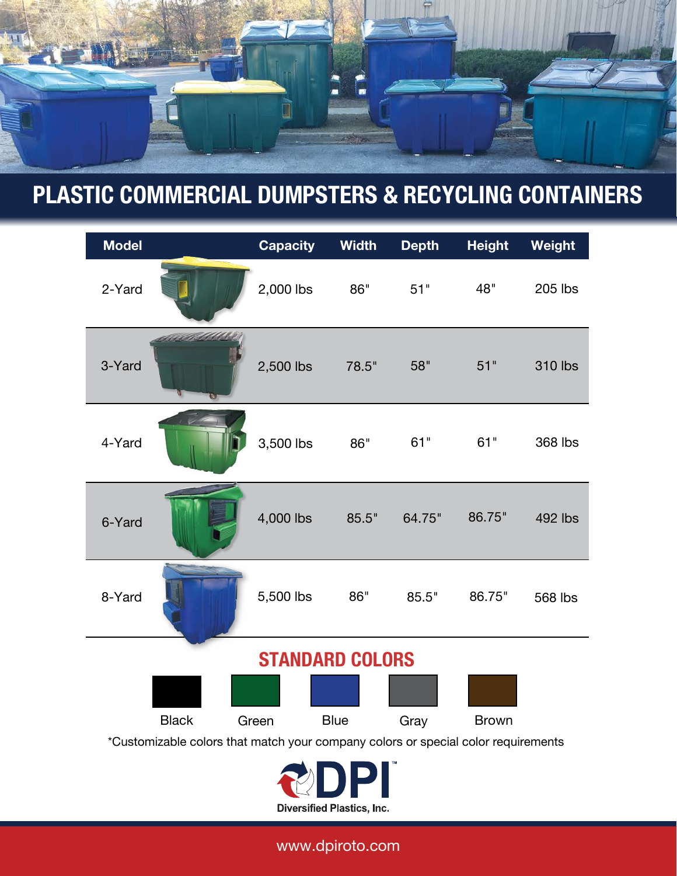

# **PLASTIC COMMERCIAL DUMPSTERS & RECYCLING CONTAINERS**

| <b>Model</b>                                                                      |              | <b>Capacity</b> | <b>Width</b> | <b>Depth</b> | <b>Height</b> | Weight         |
|-----------------------------------------------------------------------------------|--------------|-----------------|--------------|--------------|---------------|----------------|
| 2-Yard                                                                            |              | 2,000 lbs       | 86"          | 51"          | 48"           | 205 lbs        |
| 3-Yard                                                                            |              | 2,500 lbs       | 78.5"        | 58"          | 51"           | <b>310 lbs</b> |
| 4-Yard                                                                            |              | 3,500 lbs       | 86"          | 61"          | 61"           | 368 lbs        |
| 6-Yard                                                                            |              | 4,000 lbs       | 85.5"        | 64.75"       | 86.75"        | 492 lbs        |
| 8-Yard                                                                            |              | 5,500 lbs       | 86"          | 85.5"        | 86.75"        | 568 lbs        |
| <b>STANDARD COLORS</b>                                                            |              |                 |              |              |               |                |
|                                                                                   |              |                 |              |              |               |                |
|                                                                                   | <b>Black</b> | Green           | <b>Blue</b>  | Gray         | <b>Brown</b>  |                |
| *Customizable colors that match your company colors or special color requirements |              |                 |              |              |               |                |
|                                                                                   |              |                 |              |              |               |                |

www.dpiroto.com

**Diversified Plastics, Inc.**